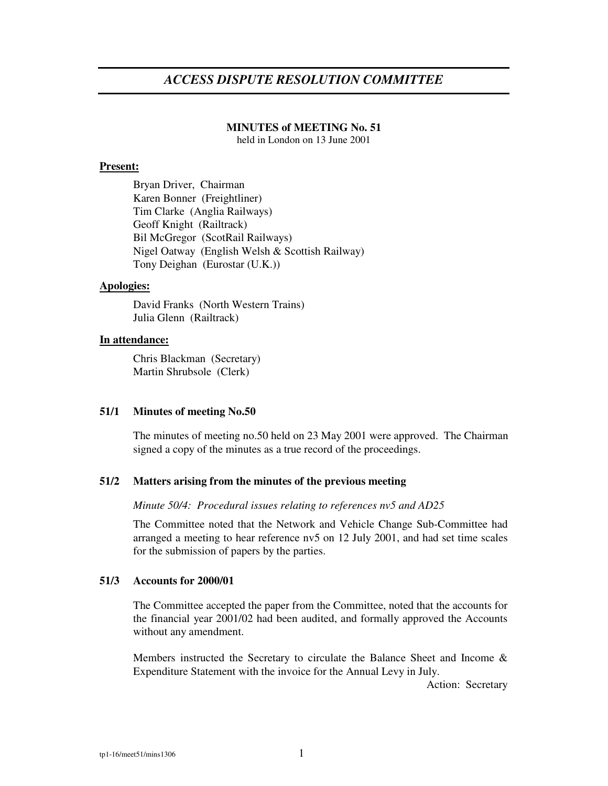# *ACCESS DISPUTE RESOLUTION COMMITTEE*

## **MINUTES of MEETING No. 51**

held in London on 13 June 2001

#### **Present:**

Bryan Driver, Chairman Karen Bonner (Freightliner) Tim Clarke (Anglia Railways) Geoff Knight (Railtrack) Bil McGregor (ScotRail Railways) Nigel Oatway (English Welsh & Scottish Railway) Tony Deighan (Eurostar (U.K.))

#### **Apologies:**

David Franks (North Western Trains) Julia Glenn (Railtrack)

# **In attendance:**

Chris Blackman (Secretary) Martin Shrubsole (Clerk)

## **51/1 Minutes of meeting No.50**

The minutes of meeting no.50 held on 23 May 2001 were approved. The Chairman signed a copy of the minutes as a true record of the proceedings.

# **51/2 Matters arising from the minutes of the previous meeting**

*Minute 50/4: Procedural issues relating to references nv5 and AD25*

The Committee noted that the Network and Vehicle Change Sub-Committee had arranged a meeting to hear reference nv5 on 12 July 2001, and had set time scales for the submission of papers by the parties.

## **51/3 Accounts for 2000/01**

The Committee accepted the paper from the Committee, noted that the accounts for the financial year 2001/02 had been audited, and formally approved the Accounts without any amendment.

Members instructed the Secretary to circulate the Balance Sheet and Income & Expenditure Statement with the invoice for the Annual Levy in July.

Action: Secretary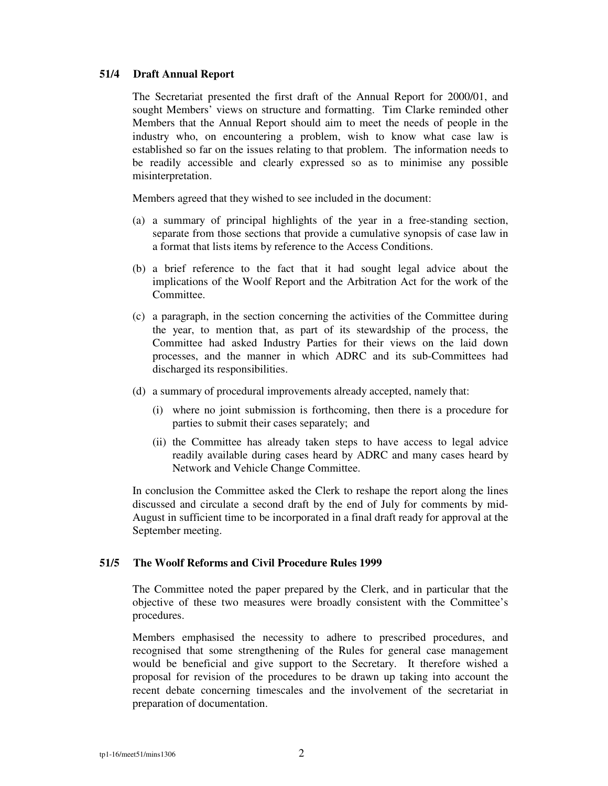#### **51/4 Draft Annual Report**

The Secretariat presented the first draft of the Annual Report for 2000/01, and sought Members' views on structure and formatting. Tim Clarke reminded other Members that the Annual Report should aim to meet the needs of people in the industry who, on encountering a problem, wish to know what case law is established so far on the issues relating to that problem. The information needs to be readily accessible and clearly expressed so as to minimise any possible misinterpretation.

Members agreed that they wished to see included in the document:

- (a) a summary of principal highlights of the year in a free-standing section, separate from those sections that provide a cumulative synopsis of case law in a format that lists items by reference to the Access Conditions.
- (b) a brief reference to the fact that it had sought legal advice about the implications of the Woolf Report and the Arbitration Act for the work of the Committee.
- (c) a paragraph, in the section concerning the activities of the Committee during the year, to mention that, as part of its stewardship of the process, the Committee had asked Industry Parties for their views on the laid down processes, and the manner in which ADRC and its sub-Committees had discharged its responsibilities.
- (d) a summary of procedural improvements already accepted, namely that:
	- (i) where no joint submission is forthcoming, then there is a procedure for parties to submit their cases separately; and
	- (ii) the Committee has already taken steps to have access to legal advice readily available during cases heard by ADRC and many cases heard by Network and Vehicle Change Committee.

In conclusion the Committee asked the Clerk to reshape the report along the lines discussed and circulate a second draft by the end of July for comments by mid-August in sufficient time to be incorporated in a final draft ready for approval at the September meeting.

## **51/5 The Woolf Reforms and Civil Procedure Rules 1999**

The Committee noted the paper prepared by the Clerk, and in particular that the objective of these two measures were broadly consistent with the Committee's procedures.

Members emphasised the necessity to adhere to prescribed procedures, and recognised that some strengthening of the Rules for general case management would be beneficial and give support to the Secretary. It therefore wished a proposal for revision of the procedures to be drawn up taking into account the recent debate concerning timescales and the involvement of the secretariat in preparation of documentation.